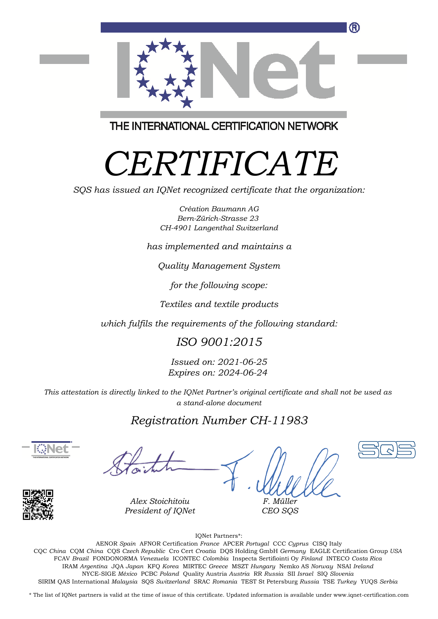

THE INTERNATIONAL CERTIFICATION NETWORK

# *CERTIFICATE*

*SQS has issued an IQNet recognized certificate that the organization:*

*Création Baumann AG Bern-Zürich-Strasse 23 CH-4901 Langenthal Switzerland*

*has implemented and maintains a*

*Quality Management System*

*for the following scope:*

*Textiles and textile products*

*which fulfils the requirements of the following standard:*

# *ISO 9001:2015*

*Issued on: 2021-06-25 Expires on: 2024-06-24*

*This attestation is directly linked to the IQNet Partner's original certificate and shall not be used as a stand-alone document*

# *Registration Number CH-11983*





*Alex Stoichitoiu President of IQNet*

*F. Müller CEO SQS*



IQNet Partners\*:

This annex is only valid in connection with the above-mentioned certificate. FCAV *Brazil* FONDONORMA *Venezuela* ICONTEC *Colombia* Inspecta Sertifiointi Oy *Finland* INTECO *Costa Rica* AENOR *Spain* AFNOR Certification *France* APCER *Portugal* CCC *Cyprus* CISQ Italy CQC *China* CQM *China* CQS *Czech Republic* Cro Cert *Croatia* DQS Holding GmbH *Germany* EAGLE Certification Group *USA* IRAM *Argentina* JQA *Japan* KFQ *Korea* MIRTEC *Greece* MSZT *Hungary* Nemko AS *Norway* NSAI *Ireland* NYCE-SIGE *México* PCBC *Poland* Quality Austria *Austria* RR *Russia* SII *Israel* SIQ *Slovenia* SIRIM QAS International *Malaysia* SQS *Switzerland* SRAC *Romania* TEST St Petersburg *Russia* TSE *Turkey* YUQS *Serbia*

\* The list of IQNet partners is valid at the time of issue of this certificate. Updated information is available under www.iqnet-certification.com